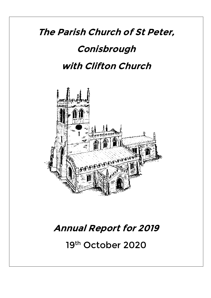# **The Parish Church of St Peter, Conisbrough with Clifton Church**



## **Annual Report for 2019**

19th October 2020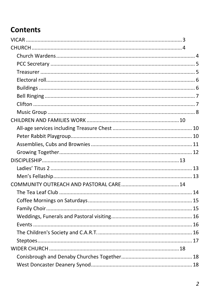## **Contents**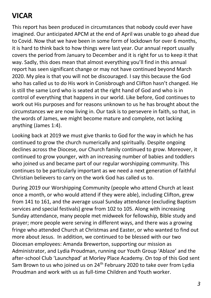## <span id="page-2-0"></span>**VICAR**

This report has been produced in circumstances that nobody could ever have imagined. Our anticipated APCM at the end of April was unable to go ahead due to Covid. Now that we have been in some form of lockdown for over 6 months, it is hard to think back to how things were last year. Our annual report usually covers the period from January to December and it is right for us to keep it that way. Sadly, this does mean that almost everything you'll find in this annual report has seen significant change or may not have continued beyond March 2020. My plea is that you will not be discouraged. I say this because the God who has called us to do His work in Conisbrough and Clifton hasn't changed. He is still the same Lord who is seated at the right hand of God and who is in control of everything that happens in our world. Like before, God continues to work out His purposes and for reasons unknown to us he has brought about the circumstances we are now living in. Our task is to persevere in faith, so that, in the words of James, we might become mature and complete, not lacking anything (James 1:4).

Looking back at 2019 we must give thanks to God for the way in which he has continued to grow the church numerically and spiritually. Despite ongoing declines across the Diocese, our Church family continued to grow. Moreover, it continued to grow younger, with an increasing number of babies and toddlers who joined us and became part of our regular worshipping community. This continues to be particularly important as we need a next generation of faithful Christian believers to carry on the work God has called us to.

During 2019 our Worshipping Community (people who attend Church at least once a month, or who would attend if they were able), including Clifton, grew from 141 to 161, and the average usual Sunday attendance (excluding Baptism services and special festivals) grew from 102 to 105. Along with increasing Sunday attendance, many people met midweek for fellowship, Bible study and prayer; more people were serving in different ways, and there was a growing fringe who attended Church at Christmas and Easter, or who wanted to find out more about Jesus. In addition, we continued to be blessed with our two Diocesan employees: Amanda Brewerton, supporting our mission as Administrator, and Lydia Proudman, running our Youth Group 'Ablaze' and the after-school Club 'Launchpad' at Morley Place Academy. On top of this God sent Sam Brown to us who joined us on 24<sup>th</sup> February 2020 to take over from Lydia Proudman and work with us as full-time Children and Youth worker.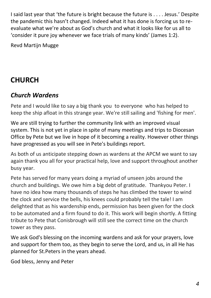I said last year that 'the future is bright because the future is . . . . Jesus.' Despite the pandemic this hasn't changed. Indeed what it has done is forcing us to reevaluate what we're about as God's church and what it looks like for us all to 'consider it pure joy whenever we face trials of many kinds' (James 1:2).

Revd Martijn Mugge

## <span id="page-3-0"></span>**CHURCH**

#### <span id="page-3-1"></span>*Church Wardens*

Pete and I would like to say a big thank you to everyone who has helped to keep the ship afloat in this strange year. We're still sailing and 'fishing for men'.

We are still trying to further the community link with an improved visual system. This is not yet in place in spite of many meetings and trips to Diocesan Office by Pete but we live in hope of it becoming a reality. However other things have progressed as you will see in Pete's buildings report.

As both of us anticipate stepping down as wardens at the APCM we want to say again thank you all for your practical help, love and support throughout another busy year.

Pete has served for many years doing a myriad of unseen jobs around the church and buildings. We owe him a big debt of gratitude. Thankyou Peter. I have no idea how many thousands of steps he has climbed the tower to wind the clock and service the bells, his knees could probably tell the tale! I am delighted that as his wardenship ends, permission has been given for the clock to be automated and a firm found to do it. This work will begin shortly. A fitting tribute to Pete that Conisbrough will still see the correct time on the church tower as they pass.

We ask God's blessing on the incoming wardens and ask for your prayers, love and support for them too, as they begin to serve the Lord, and us, in all He has planned for St.Peters in the years ahead.

God bless, Jenny and Peter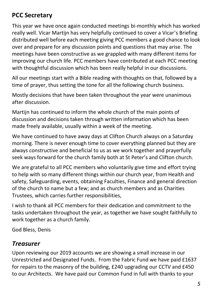#### <span id="page-4-0"></span>**PCC Secretary**

This year we have once again conducted meetings bi-monthly which has worked really well. Vicar Martijn has very helpfully continued to cover a Vicar's Briefing distributed well before each meeting giving PCC members a good chance to look over and prepare for any discussion points and questions that may arise. The meetings have been constructive as we grappled with many different items for improving our church life. PCC members have contributed at each PCC meeting with thoughtful discussion which has been really helpful in our discussions.

All our meetings start with a Bible reading with thoughts on that, followed by a time of prayer, thus setting the tone for all the following church business.

Mostly decisions that have been taken throughout the year were unanimous after discussion.

Martijn has continued to inform the whole church of the main points of discussion and decisions taken through written information which has been made freely available, usually within a week of the meeting.

We have continued to have away days at Clifton Church always on a Saturday morning. There is never enough time to cover everything planned but they are always constructive and beneficial to us as we work together and prayerfully seek ways forward for the church family both at St Peter's and Clifton church.

We are grateful to all PCC members who voluntarily give time and effort trying to help with so many different things within our church year, from Health and safety, Safeguarding, events, obtaining Faculties, Finance and general direction of the church to name but a few; and as church members and as Charities Trustees, which carries further responsibilities,

I wish to thank all PCC members for their dedication and commitment to the tasks undertaken throughout the year, as together we have sought faithfully to work together as a church family.

God Bless, Denis

#### <span id="page-4-1"></span>*Treasurer*

Upon reviewing our 2019 accounts we are showing a small increase in our Unrestricted and Designated Funds. From the Fabric Fund we have paid £1637 for repairs to the masonry of the building, £240 upgrading our CCTV and £450 to our Architects. We have paid our Common Fund in full with thanks to your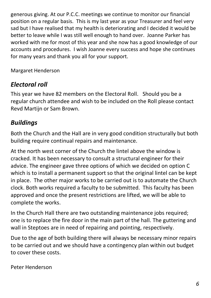generous giving. At our P.C.C. meetings we continue to monitor our financial position on a regular basis. This is my last year as your Treasurer and feel very sad but I have realised that my health is deteriorating and I decided it would be better to leave while I was still well enough to hand over. Joanne Parker has worked with me for most of this year and she now has a good knowledge of our accounts and procedures. I wish Joanne every success and hope she continues for many years and thank you all for your support.

Margaret Henderson

#### <span id="page-5-0"></span>*Electoral roll*

This year we have 82 members on the Electoral Roll. Should you be a regular church attendee and wish to be included on the Roll please contact Revd Martijn or Sam Brown.

#### <span id="page-5-1"></span>*Buildings*

Both the Church and the Hall are in very good condition structurally but both building require continual repairs and maintenance.

At the north west corner of the Church the lintel above the window is cracked. It has been necessary to consult a structural engineer for their advice. The engineer gave three options of which we decided on option C which is to install a permanent support so that the original lintel can be kept in place. The other major works to be carried out is to automate the Church clock. Both works required a faculty to be submitted. This faculty has been approved and once the present restrictions are lifted, we will be able to complete the works.

In the Church Hall there are two outstanding maintenance jobs required; one is to replace the fire door in the main part of the hall. The guttering and wall in Steptoes are in need of repairing and pointing, respectively.

Due to the age of both building there will always be necessary minor repairs to be carried out and we should have a contingency plan within out budget to cover these costs.

Peter Henderson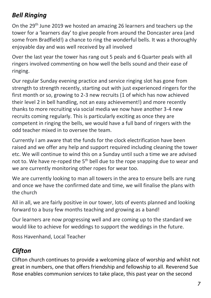#### <span id="page-6-0"></span>*Bell Ringing*

On the 29th June 2019 we hosted an amazing 26 learners and teachers up the tower for a 'learners day' to give people from around the Doncaster area (and some from Bradfield!) a chance to ring the wonderful bells. It was a thoroughly enjoyable day and was well received by all involved

Over the last year the tower has rang out 5 peals and 6 Quarter peals with all ringers involved commenting on how well the bells sound and their ease of ringing.

Our regular Sunday evening practice and service ringing slot has gone from strength to strength recently, starting out with just experienced ringers for the first month or so, growing to 2-3 new recruits (1 of which has now achieved their level 2 in bell handling, not an easy achievement!) and more recently thanks to more recruiting via social media we now have another 3-4 new recruits coming regularly. This is particularly exciting as once they are competent in ringing the bells, we would have a full band of ringers with the odd teacher mixed in to oversee the team.

Currently I am aware that the funds for the clock electrification have been raised and we offer any help and support required including cleaning the tower etc. We will continue to wind this on a Sunday until such a time we are advised not to. We have re-roped the 5<sup>th</sup> bell due to the rope snapping due to wear and we are currently monitoring other ropes for wear too.

We are currently looking to man all towers in the area to ensure bells are rung and once we have the confirmed date and time, we will finalise the plans with the church

All in all, we are fairly positive in our tower, lots of events planned and looking forward to a busy few months teaching and growing as a band!

Our learners are now progressing well and are coming up to the standard we would like to achieve for weddings to support the weddings in the future.

Ross Havenhand, Local Teacher

### <span id="page-6-1"></span>*Clifton*

Clifton church continues to provide a welcoming place of worship and whilst not great in numbers, one that offers friendship and fellowship to all. Reverend Sue Rose enables communion services to take place, this past year on the second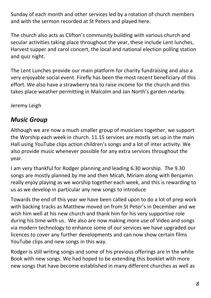Sunday of each month and other services led by a rotation of church members and with the sermon recorded at St Peters and played here.

The church also acts as Clifton's community building with various church and secular activities taking place throughout the year, these include Lent lunches, Harvest supper and carol concert, the local and national election polling station and quiz night.

The Lent Lunches provide our main platform for charity fundraising and also a very enjoyable social event. Firefly has been the most recent beneficiary of this effort. We also have a strawberry tea to raise income for the church and this takes place weather permitting in Malcolm and Jan North's garden nearby.

Jeremy Leigh

#### <span id="page-7-0"></span>*Music Group*

Although we are now a much smaller group of musicians together, we support the Worship each week in church. 11.15 services are mostly set up in the main Hall using YouTube clips action children's songs and a lot of inter activity. We also provide music whenever possible for any extra services throughout the year.

I am very thankful for Rodger planning and leading 6.30 worship. The 9.30 songs are mostly planned by me and then Micah, Miriam along with Benjamin really enjoy playing as we worship together each week, and this is rewarding to us as we develop in particular any new songs to introduce

Towards the end of this year we have been called upon to do a lot of prep work with backing tracks as Matthew moved on from St Peter's in December and we wish him well at his new church and thank him for his very supportive role during his time with us. We also are now making more use of Video and songs via modern technology to enhance some of our services we have upgraded our licences to cover any further developments and can now show certain films YouTube clips and new songs in this way.

Rodger is still writing songs and some of his previous offerings are in the white Book with new songs. We had hoped to be extending this booklet with more new songs that have become established in many different churches as well as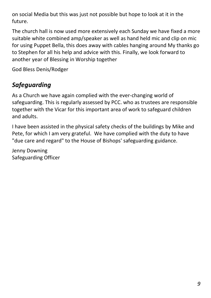on social Media but this was just not possible but hope to look at it in the future.

The church hall is now used more extensively each Sunday we have fixed a more suitable white combined amp/speaker as well as hand held mic and clip on mic for using Puppet Bella, this does away with cables hanging around My thanks go to Stephen for all his help and advice with this. Finally, we look forward to another year of Blessing in Worship together

God Bless Denis/Rodger

#### *Safeguarding*

As a Church we have again complied with the ever-changing world of safeguarding. This is regularly assessed by PCC. who as trustees are responsible together with the Vicar for this important area of work to safeguard children and adults.

I have been assisted in the physical safety checks of the buildings by Mike and Pete, for which I am very grateful. We have complied with the duty to have "due care and regard" to the House of Bishops' safeguarding guidance.

Jenny Downing Safeguarding Officer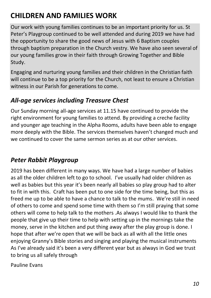## <span id="page-9-0"></span>**CHILDREN AND FAMILIES WORK**

Our work with young families continues to be an important priority for us. St Peter's Playgroup continued to be well attended and during 2019 we have had the opportunity to share the good news of Jesus with 6 Baptism couples through baptism preparation in the Church vestry. We have also seen several of our young families grow in their faith through Growing Together and Bible Study.

Engaging and nurturing young families and their children in the Christian faith will continue to be a top priority for the Church, not least to ensure a Christian witness in our Parish for generations to come.

#### <span id="page-9-1"></span>*All-age services including Treasure Chest*

Our Sunday morning all-age services at 11.15 have continued to provide the right environment for young families to attend. By providing a creche facility and younger age teaching in the Alpha Rooms, adults have been able to engage more deeply with the Bible. The services themselves haven't changed much and we continued to cover the same sermon series as at our other services.

#### <span id="page-9-2"></span>*Peter Rabbit Playgroup*

2019 has been different in many ways. We have had a large number of babies as all the older children left to go to school. I've usually had older children as well as babies but this year it's been nearly all babies so play group had to alter to fit in with this. Craft has been put to one side for the time being, but this as freed me up to be able to have a chance to talk to the mums. We're still in need of others to come and spend some time with them so I'm still praying that some others will come to help talk to the mothers .As always I would like to thank the people that give up their time to help with setting up in the mornings take the money, serve in the kitchen and put thing away after the play group is done. I hope that after we're open that we will be back as all with all the little ones enjoying Granny's Bible stories and singing and playing the musical instruments As I've already said it's been a very different year but as always in God we trust to bring us all safely through

Pauline Evans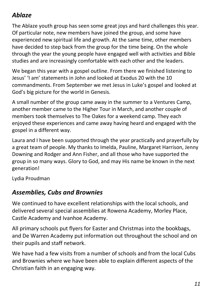#### *Ablaze*

The Ablaze youth group has seen some great joys and hard challenges this year. Of particular note, new members have joined the group, and some have experienced new spiritual life and growth. At the same time, other members have decided to step back from the group for the time being. On the whole through the year the young people have engaged well with activities and Bible studies and are increasingly comfortable with each other and the leaders.

We began this year with a gospel outline. From there we finished listening to Jesus' 'I am' statements in John and looked at Exodus 20 with the 10 commandments. From September we met Jesus in Luke's gospel and looked at God's big picture for the world in Genesis.

A small number of the group came away in the summer to a Ventures Camp, another member came to the Higher Tour in March, and another couple of members took themselves to The Oakes for a weekend camp. They each enjoyed these experiences and came away having heard and engaged with the gospel in a different way.

Laura and I have been supported through the year practically and prayerfully by a great team of people. My thanks to Imelda, Pauline, Margaret Harrison, Jenny Downing and Rodger and Ann Fisher, and all those who have supported the group in so many ways. Glory to God, and may His name be known in the next generation!

<span id="page-10-0"></span>Lydia Proudman

#### *Assemblies, Cubs and Brownies*

We continued to have excellent relationships with the local schools, and delivered several special assemblies at Rowena Academy, Morley Place, Castle Academy and Ivanhoe Academy.

All primary schools put flyers for Easter and Christmas into the bookbags, and De Warren Academy put information out throughout the school and on their pupils and staff network.

We have had a few visits from a number of schools and from the local Cubs and Brownies where we have been able to explain different aspects of the Christian faith in an engaging way.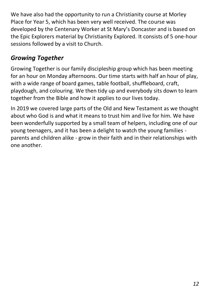We have also had the opportunity to run a Christianity course at Morley Place for Year 5, which has been very well received. The course was developed by the Centenary Worker at St Mary's Doncaster and is based on the Epic Explorers material by Christianity Explored. It consists of 5 one-hour sessions followed by a visit to Church.

#### <span id="page-11-0"></span>*Growing Together*

Growing Together is our family discipleship group which has been meeting for an hour on Monday afternoons. Our time starts with half an hour of play, with a wide range of board games, table football, shuffleboard, craft, playdough, and colouring. We then tidy up and everybody sits down to learn together from the Bible and how it applies to our lives today.

In 2019 we covered large parts of the Old and New Testament as we thought about who God is and what it means to trust him and live for him. We have been wonderfully supported by a small team of helpers, including one of our young teenagers, and it has been a delight to watch the young families parents and children alike - grow in their faith and in their relationships with one another.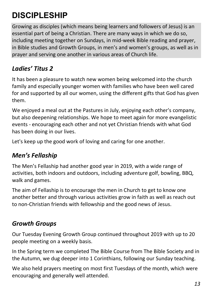## <span id="page-12-0"></span>**DISCIPLESHIP**

Growing as disciples (which means being learners and followers of Jesus) is an essential part of being a Christian. There are many ways in which we do so, including meeting together on Sundays, in mid-week Bible reading and prayer, in Bible studies and Growth Groups, in men's and women's groups, as well as in prayer and serving one another in various areas of Church life.

#### <span id="page-12-1"></span>*Ladies' Titus 2*

It has been a pleasure to watch new women being welcomed into the church family and especially younger women with families who have been well cared for and supported by all our women, using the different gifts that God has given them.

We enjoyed a meal out at the Pastures in July, enjoying each other's company, but also deepening relationships. We hope to meet again for more evangelistic events - encouraging each other and not yet Christian friends with what God has been doing in our lives.

Let's keep up the good work of loving and caring for one another.

#### <span id="page-12-2"></span>*Men's Fellaship*

The Men's Fellaship had another good year in 2019, with a wide range of activities, both indoors and outdoors, including adventure golf, bowling, BBQ, walk and games.

The aim of Fellaship is to encourage the men in Church to get to know one another better and through various activities grow in faith as well as reach out to non-Christian friends with fellowship and the good news of Jesus.

#### *Growth Groups*

Our Tuesday Evening Growth Group continued throughout 2019 with up to 20 people meeting on a weekly basis.

In the Spring term we completed The Bible Course from The Bible Society and in the Autumn, we dug deeper into 1 Corinthians, following our Sunday teaching.

We also held prayers meeting on most first Tuesdays of the month, which were encouraging and generally well attended.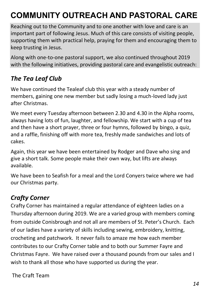## <span id="page-13-0"></span>**COMMUNITY OUTREACH AND PASTORAL CARE**

Reaching out to the Community and to one another with love and care is an important part of following Jesus. Much of this care consists of visiting people, supporting them with practical help, praying for them and encouraging them to keep trusting in Jesus.

Along with one-to-one pastoral support, we also continued throughout 2019 with the following initiatives, providing pastoral care and evangelistic outreach:

#### <span id="page-13-1"></span>*The Tea Leaf Club*

We have continued the Tealeaf club this year with a steady number of members, gaining one new member but sadly losing a much-loved lady just after Christmas.

We meet every Tuesday afternoon between 2.30 and 4.30 in the Alpha rooms, always having lots of fun, laughter, and fellowship. We start with a cup of tea and then have a short prayer, three or four hymns, followed by bingo, a quiz, and a raffle, finishing off with more tea, freshly made sandwiches and lots of cakes.

Again, this year we have been entertained by Rodger and Dave who sing and give a short talk. Some people make their own way, but lifts are always available.

We have been to Seafish for a meal and the Lord Conyers twice where we had our Christmas party.

#### *Crafty Corner*

Crafty Corner has maintained a regular attendance of eighteen ladies on a Thursday afternoon during 2019. We are a varied group with members coming from outside Conisbrough and not all are members of St. Peter's Church. Each of our ladies have a variety of skills including sewing, embroidery, knitting, crocheting and patchwork. It never fails to amaze me how each member contributes to our Crafty Corner table and to both our Summer Fayre and Christmas Fayre. We have raised over a thousand pounds from our sales and I wish to thank all those who have supported us during the year.

The Craft Team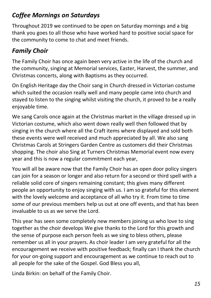#### <span id="page-14-0"></span>*Coffee Mornings on Saturdays*

Throughout 2019 we continued to be open on Saturday mornings and a big thank you goes to all those who have worked hard to positive social space for the community to come to chat and meet friends.

#### <span id="page-14-1"></span>*Family Choir*

The Family Choir has once again been very active in the life of the church and the community, singing at Memorial services, Easter, Harvest, the summer, and Christmas concerts, along with Baptisms as they occurred.

On English Heritage day the Choir sang in Church dressed in Victorian costume which suited the occasion really well and many people came into church and stayed to listen to the singing whilst visiting the church, it proved to be a really enjoyable time.

We sang Carols once again at the Christmas market in the village dressed up in Victorian costume, which also went down really well then followed that by singing in the church where all the Craft items where displayed and sold both these events were well received and much appreciated by all. We also sang Christmas Carols at Stringers Garden Centre as customers did their Christmas shopping. The choir also Sing at Turners Christmas Memorial event now every year and this is now a regular commitment each year,

You will all be aware now that the Family Choir has an open door policy singers can join for a season or longer and also return for a second or third spell with a reliable solid core of singers remaining constant; this gives many different people an opportunity to enjoy singing with us. I am so grateful for this element with the lovely welcome and acceptance of all who try it. From time to time some of our previous members help us out at one off events, and that has been invaluable to us as we serve the Lord.

This year has seen some completely new members joining us who love to sing together as the choir develops We give thanks to the Lord for this growth and the sense of purpose each person feels as we sing to bless others, please remember us all in your prayers. As choir leader I am very grateful for all the encouragement we receive with positive feedback; finally can I thank the church for your on-going support and encouragement as we continue to reach out to all people for the sake of the Gospel. God Bless you all,

Linda Birkin: on behalf of the Family Choir.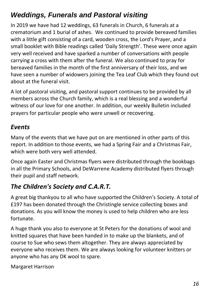### <span id="page-15-0"></span>*Weddings, Funerals and Pastoral visiting*

In 2019 we have had 12 weddings, 63 funerals in Church, 6 funerals at a crematorium and 1 burial of ashes. We continued to provide bereaved families with a little gift consisting of a card, wooden cross, the Lord's Prayer, and a small booklet with Bible readings called 'Daily Strength'. These were once again very well received and have sparked a number of conversations with people carrying a cross with them after the funeral. We also continued to pray for bereaved families in the month of the first anniversary of their loss, and we have seen a number of widowers joining the Tea Leaf Club which they found out about at the funeral visit.

A lot of pastoral visiting, and pastoral support continues to be provided by all members across the Church family, which is a real blessing and a wonderful witness of our love for one another. In addition, our weekly Bulletin included prayers for particular people who were unwell or recovering.

#### <span id="page-15-1"></span>*Events*

Many of the events that we have put on are mentioned in other parts of this report. In addition to those events, we had a Spring Fair and a Christmas Fair, which were both very well attended.

Once again Easter and Christmas flyers were distributed through the bookbags in all the Primary Schools, and DeWarrene Academy distributed flyers through their pupil and staff network.

#### <span id="page-15-2"></span>*The Children's Society and C.A.R.T.*

A great big thankyou to all who have supported the Children's Society. A total of £197 has been donated through the Christingle service collecting boxes and donations. As you will know the money is used to help children who are less fortunate.

A huge thank you also to everyone at St Peters for the donations of wool and knitted squares that have been handed in to make up the blankets, and of course to Sue who sews them altogether. They are always appreciated by everyone who receives them. We are always looking for volunteer knitters or anyone who has any DK wool to spare.

Margaret Harrison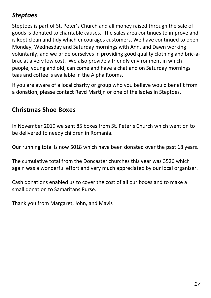#### <span id="page-16-0"></span>*Steptoes*

Steptoes is part of St. Peter's Church and all money raised through the sale of goods is donated to charitable causes. The sales area continues to improve and is kept clean and tidy which encourages customers. We have continued to open Monday, Wednesday and Saturday mornings with Ann, and Dawn working voluntarily, and we pride ourselves in providing good quality clothing and bric-abrac at a very low cost. We also provide a friendly environment in which people, young and old, can come and have a chat and on Saturday mornings teas and coffee is available in the Alpha Rooms.

If you are aware of a local charity or group who you believe would benefit from a donation, please contact Revd Martijn or one of the ladies in Steptoes.

#### **Christmas Shoe Boxes**

In November 2019 we sent 85 boxes from St. Peter's Church which went on to be delivered to needy children in Romania.

Our running total is now 5018 which have been donated over the past 18 years.

The cumulative total from the Doncaster churches this year was 3526 which again was a wonderful effort and very much appreciated by our local organiser.

Cash donations enabled us to cover the cost of all our boxes and to make a small donation to Samaritans Purse.

Thank you from Margaret, John, and Mavis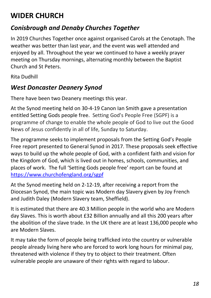## <span id="page-17-0"></span>**WIDER CHURCH**

#### <span id="page-17-1"></span>*Conisbrough and Denaby Churches Together*

In 2019 Churches Together once against organised Carols at the Cenotaph. The weather was better than last year, and the event was well attended and enjoyed by all. Throughout the year we continued to have a weekly prayer meeting on Thursday mornings, alternating monthly between the Baptist Church and St Peters.

Rita Dudhill

#### <span id="page-17-2"></span>*West Doncaster Deanery Synod*

There have been two Deanery meetings this year.

At the Synod meeting held on 30-4-19 Canon Ian Smith gave a presentation entitled Setting Gods people free. Setting God's People Free (SGPF) is a programme of change to enable the whole people of God to live out the Good News of Jesus confidently in all of life, Sunday to Saturday.

The programme seeks to implement proposals from the Setting God's People Free report presented to General Synod in 2017. These proposals seek effective ways to build up the whole people of God, with a confident faith and vision for the Kingdom of God, which is lived out in homes, schools, communities, and places of work. The full 'Setting Gods people free' report can be found at <https://www.churchofengland.org/sgpf>

At the Synod meeting held on 2-12-19, after receiving a report from the Diocesan Synod, the main topic was Modern day Slavery given by Joy French and Judith Daley (Modern Slavery team, Sheffield).

It is estimated that there are 40.3 Million people in the world who are Modern day Slaves. This is worth about £32 Billion annually and all this 200 years after the abolition of the slave trade. In the UK there are at least 136,000 people who are Modern Slaves.

It may take the form of people being trafficked into the country or vulnerable people already living here who are forced to work long hours for minimal pay, threatened with violence if they try to object to their treatment. Often vulnerable people are unaware of their rights with regard to labour.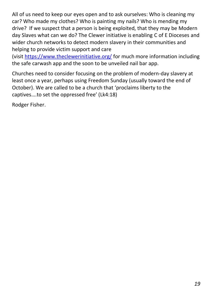All of us need to keep our eyes open and to ask ourselves: Who is cleaning my car? Who made my clothes? Who is painting my nails? Who is mending my drive? If we suspect that a person is being exploited, that they may be Modern day Slaves what can we do? The Clewer initiative is enabling C of E Dioceses and wider church networks to detect modern slavery in their communities and helping to provide victim support and care

(visit<https://www.theclewerinitiative.org/> for much more information including the safe carwash app and the soon to be unveiled nail bar app.

Churches need to consider focusing on the problem of modern-day slavery at least once a year, perhaps using Freedom Sunday (usually toward the end of October). We are called to be a church that 'proclaims liberty to the captives….to set the oppressed free' (Lk4:18)

Rodger Fisher.